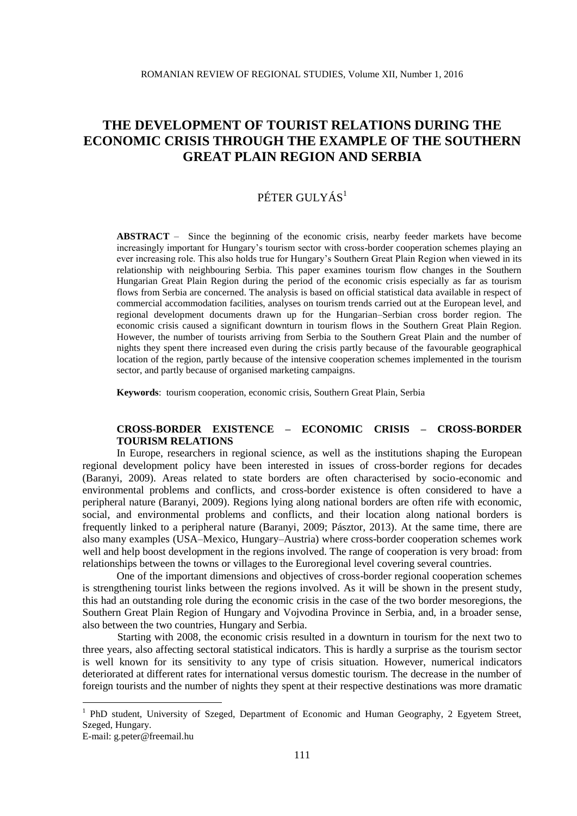# PÉTER GULYÁS<sup>1</sup>

**ABSTRACT** – Since the beginning of the economic crisis, nearby feeder markets have become increasingly important for Hungary's tourism sector with cross-border cooperation schemes playing an ever increasing role. This also holds true for Hungary's Southern Great Plain Region when viewed in its relationship with neighbouring Serbia. This paper examines tourism flow changes in the Southern Hungarian Great Plain Region during the period of the economic crisis especially as far as tourism flows from Serbia are concerned. The analysis is based on official statistical data available in respect of commercial accommodation facilities, analyses on tourism trends carried out at the European level, and regional development documents drawn up for the Hungarian–Serbian cross border region. The economic crisis caused a significant downturn in tourism flows in the Southern Great Plain Region. However, the number of tourists arriving from Serbia to the Southern Great Plain and the number of nights they spent there increased even during the crisis partly because of the favourable geographical location of the region, partly because of the intensive cooperation schemes implemented in the tourism sector, and partly because of organised marketing campaigns.

**Keywords**: tourism cooperation, economic crisis, Southern Great Plain, Serbia

# **CROSS-BORDER EXISTENCE – ECONOMIC CRISIS – CROSS-BORDER TOURISM RELATIONS**

In Europe, researchers in regional science, as well as the institutions shaping the European regional development policy have been interested in issues of cross-border regions for decades (Baranyi, 2009). Areas related to state borders are often characterised by socio-economic and environmental problems and conflicts, and cross-border existence is often considered to have a peripheral nature (Baranyi, 2009). Regions lying along national borders are often rife with economic, social, and environmental problems and conflicts, and their location along national borders is frequently linked to a peripheral nature (Baranyi, 2009; Pásztor, 2013). At the same time, there are also many examples (USA–Mexico, Hungary–Austria) where cross-border cooperation schemes work well and help boost development in the regions involved. The range of cooperation is very broad: from relationships between the towns or villages to the Euroregional level covering several countries.

One of the important dimensions and objectives of cross-border regional cooperation schemes is strengthening tourist links between the regions involved. As it will be shown in the present study, this had an outstanding role during the economic crisis in the case of the two border mesoregions, the Southern Great Plain Region of Hungary and Vojvodina Province in Serbia, and, in a broader sense, also between the two countries, Hungary and Serbia.

Starting with 2008, the economic crisis resulted in a downturn in tourism for the next two to three years, also affecting sectoral statistical indicators. This is hardly a surprise as the tourism sector is well known for its sensitivity to any type of crisis situation. However, numerical indicators deteriorated at different rates for international versus domestic tourism. The decrease in the number of foreign tourists and the number of nights they spent at their respective destinations was more dramatic

<u>.</u>

<sup>&</sup>lt;sup>1</sup> PhD student, University of Szeged, Department of Economic and Human Geography, 2 Egyetem Street, Szeged, Hungary.

E-mail: g.peter@freemail.hu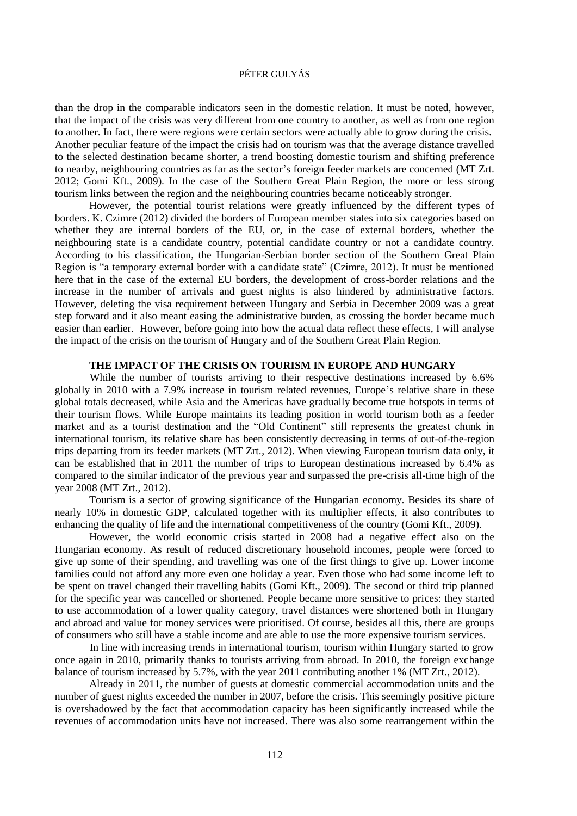than the drop in the comparable indicators seen in the domestic relation. It must be noted, however, that the impact of the crisis was very different from one country to another, as well as from one region to another. In fact, there were regions were certain sectors were actually able to grow during the crisis. Another peculiar feature of the impact the crisis had on tourism was that the average distance travelled to the selected destination became shorter, a trend boosting domestic tourism and shifting preference to nearby, neighbouring countries as far as the sector's foreign feeder markets are concerned (MT Zrt. 2012; Gomi Kft., 2009). In the case of the Southern Great Plain Region, the more or less strong tourism links between the region and the neighbouring countries became noticeably stronger.

However, the potential tourist relations were greatly influenced by the different types of borders. K. Czimre (2012) divided the borders of European member states into six categories based on whether they are internal borders of the EU, or, in the case of external borders, whether the neighbouring state is a candidate country, potential candidate country or not a candidate country. According to his classification, the Hungarian-Serbian border section of the Southern Great Plain Region is "a temporary external border with a candidate state" (Czimre, 2012). It must be mentioned here that in the case of the external EU borders, the development of cross-border relations and the increase in the number of arrivals and guest nights is also hindered by administrative factors. However, deleting the visa requirement between Hungary and Serbia in December 2009 was a great step forward and it also meant easing the administrative burden, as crossing the border became much easier than earlier. However, before going into how the actual data reflect these effects, I will analyse the impact of the crisis on the tourism of Hungary and of the Southern Great Plain Region.

# **THE IMPACT OF THE CRISIS ON TOURISM IN EUROPE AND HUNGARY**

While the number of tourists arriving to their respective destinations increased by 6.6% globally in 2010 with a 7.9% increase in tourism related revenues, Europe's relative share in these global totals decreased, while Asia and the Americas have gradually become true hotspots in terms of their tourism flows. While Europe maintains its leading position in world tourism both as a feeder market and as a tourist destination and the "Old Continent" still represents the greatest chunk in international tourism, its relative share has been consistently decreasing in terms of out-of-the-region trips departing from its feeder markets (MT Zrt., 2012). When viewing European tourism data only, it can be established that in 2011 the number of trips to European destinations increased by 6.4% as compared to the similar indicator of the previous year and surpassed the pre-crisis all-time high of the year 2008 (MT Zrt., 2012).

Tourism is a sector of growing significance of the Hungarian economy. Besides its share of nearly 10% in domestic GDP, calculated together with its multiplier effects, it also contributes to enhancing the quality of life and the international competitiveness of the country (Gomi Kft., 2009).

However, the world economic crisis started in 2008 had a negative effect also on the Hungarian economy. As result of reduced discretionary household incomes, people were forced to give up some of their spending, and travelling was one of the first things to give up. Lower income families could not afford any more even one holiday a year. Even those who had some income left to be spent on travel changed their travelling habits (Gomi Kft., 2009). The second or third trip planned for the specific year was cancelled or shortened. People became more sensitive to prices: they started to use accommodation of a lower quality category, travel distances were shortened both in Hungary and abroad and value for money services were prioritised. Of course, besides all this, there are groups of consumers who still have a stable income and are able to use the more expensive tourism services.

In line with increasing trends in international tourism, tourism within Hungary started to grow once again in 2010, primarily thanks to tourists arriving from abroad. In 2010, the foreign exchange balance of tourism increased by 5.7%, with the year 2011 contributing another 1% (MT Zrt., 2012).

Already in 2011, the number of guests at domestic commercial accommodation units and the number of guest nights exceeded the number in 2007, before the crisis. This seemingly positive picture is overshadowed by the fact that accommodation capacity has been significantly increased while the revenues of accommodation units have not increased. There was also some rearrangement within the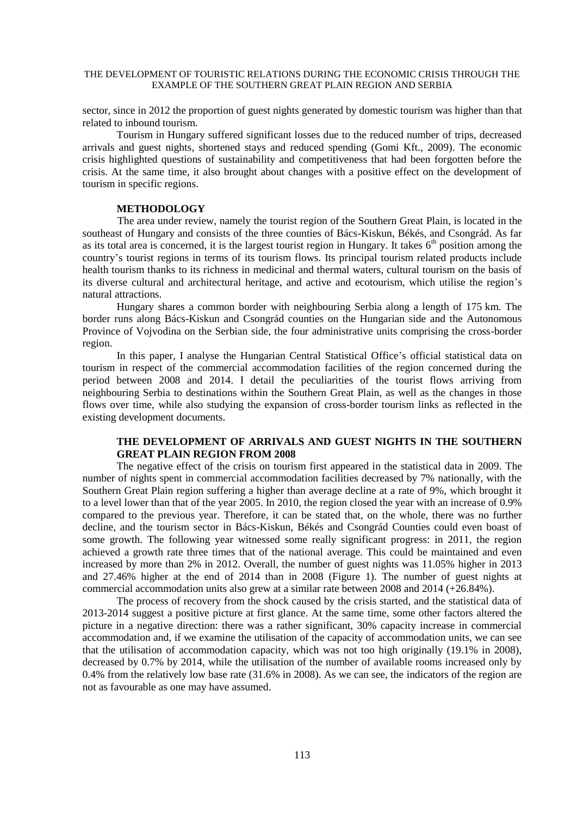sector, since in 2012 the proportion of guest nights generated by domestic tourism was higher than that related to inbound tourism.

Tourism in Hungary suffered significant losses due to the reduced number of trips, decreased arrivals and guest nights, shortened stays and reduced spending (Gomi Kft., 2009). The economic crisis highlighted questions of sustainability and competitiveness that had been forgotten before the crisis. At the same time, it also brought about changes with a positive effect on the development of tourism in specific regions.

#### **METHODOLOGY**

The area under review, namely the tourist region of the Southern Great Plain, is located in the southeast of Hungary and consists of the three counties of Bács-Kiskun, Békés, and Csongrád. As far as its total area is concerned, it is the largest tourist region in Hungary. It takes  $6<sup>th</sup>$  position among the country's tourist regions in terms of its tourism flows. Its principal tourism related products include health tourism thanks to its richness in medicinal and thermal waters, cultural tourism on the basis of its diverse cultural and architectural heritage, and active and ecotourism, which utilise the region's natural attractions.

Hungary shares a common border with neighbouring Serbia along a length of 175 km. The border runs along Bács-Kiskun and Csongrád counties on the Hungarian side and the Autonomous Province of Vojvodina on the Serbian side, the four administrative units comprising the cross-border region.

In this paper, I analyse the Hungarian Central Statistical Office's official statistical data on tourism in respect of the commercial accommodation facilities of the region concerned during the period between 2008 and 2014. I detail the peculiarities of the tourist flows arriving from neighbouring Serbia to destinations within the Southern Great Plain, as well as the changes in those flows over time, while also studying the expansion of cross-border tourism links as reflected in the existing development documents.

## **THE DEVELOPMENT OF ARRIVALS AND GUEST NIGHTS IN THE SOUTHERN GREAT PLAIN REGION FROM 2008**

The negative effect of the crisis on tourism first appeared in the statistical data in 2009. The number of nights spent in commercial accommodation facilities decreased by 7% nationally, with the Southern Great Plain region suffering a higher than average decline at a rate of 9%, which brought it to a level lower than that of the year 2005. In 2010, the region closed the year with an increase of 0.9% compared to the previous year. Therefore, it can be stated that, on the whole, there was no further decline, and the tourism sector in Bács-Kiskun, Békés and Csongrád Counties could even boast of some growth. The following year witnessed some really significant progress: in 2011, the region achieved a growth rate three times that of the national average. This could be maintained and even increased by more than 2% in 2012. Overall, the number of guest nights was 11.05% higher in 2013 and 27.46% higher at the end of 2014 than in 2008 (Figure 1). The number of guest nights at commercial accommodation units also grew at a similar rate between 2008 and 2014 (+26.84%).

The process of recovery from the shock caused by the crisis started, and the statistical data of 2013-2014 suggest a positive picture at first glance. At the same time, some other factors altered the picture in a negative direction: there was a rather significant, 30% capacity increase in commercial accommodation and, if we examine the utilisation of the capacity of accommodation units, we can see that the utilisation of accommodation capacity, which was not too high originally (19.1% in 2008), decreased by 0.7% by 2014, while the utilisation of the number of available rooms increased only by 0.4% from the relatively low base rate (31.6% in 2008). As we can see, the indicators of the region are not as favourable as one may have assumed.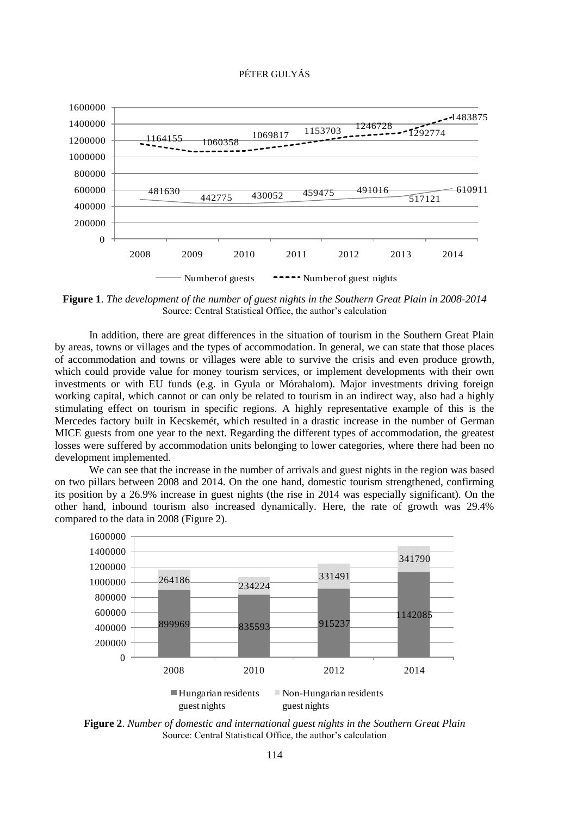

**Figure 1**. *The development of the number of guest nights in the Southern Great Plain in 2008-2014* Source: Central Statistical Office, the author's calculation

In addition, there are great differences in the situation of tourism in the Southern Great Plain by areas, towns or villages and the types of accommodation. In general, we can state that those places of accommodation and towns or villages were able to survive the crisis and even produce growth, which could provide value for money tourism services, or implement developments with their own investments or with EU funds (e.g. in Gyula or Mórahalom). Major investments driving foreign working capital, which cannot or can only be related to tourism in an indirect way, also had a highly stimulating effect on tourism in specific regions. A highly representative example of this is the Mercedes factory built in Kecskemét, which resulted in a drastic increase in the number of German MICE guests from one year to the next. Regarding the different types of accommodation, the greatest losses were suffered by accommodation units belonging to lower categories, where there had been no development implemented.

We can see that the increase in the number of arrivals and guest nights in the region was based on two pillars between 2008 and 2014. On the one hand, domestic tourism strengthened, confirming its position by a 26.9% increase in guest nights (the rise in 2014 was especially significant). On the other hand, inbound tourism also increased dynamically. Here, the rate of growth was 29.4% compared to the data in 2008 (Figure 2).



**Figure 2**. *Number of domestic and international guest nights in the Southern Great Plain* Source: Central Statistical Office, the author's calculation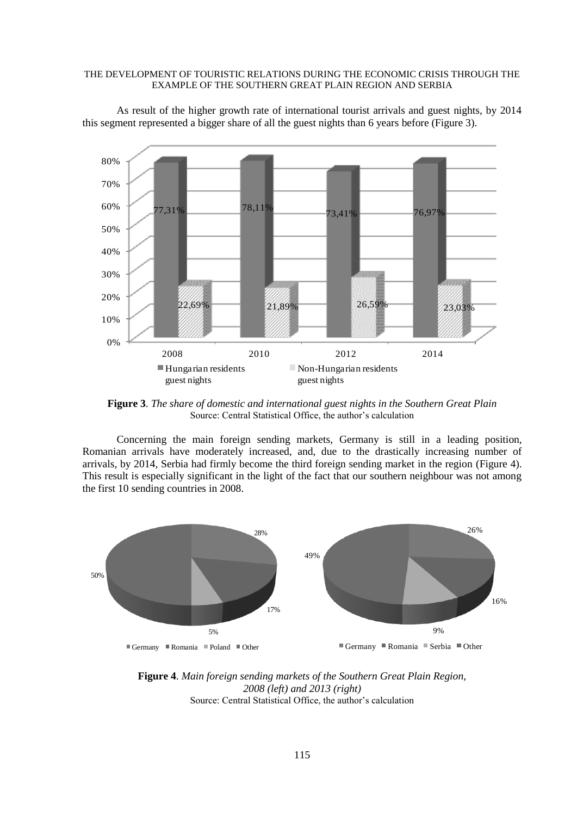

As result of the higher growth rate of international tourist arrivals and guest nights, by 2014 this segment represented a bigger share of all the guest nights than 6 years before (Figure 3).

**Figure 3**. *The share of domestic and international guest nights in the Southern Great Plain* Source: Central Statistical Office, the author's calculation

Concerning the main foreign sending markets, Germany is still in a leading position, Romanian arrivals have moderately increased, and, due to the drastically increasing number of arrivals, by 2014, Serbia had firmly become the third foreign sending market in the region (Figure 4). This result is especially significant in the light of the fact that our southern neighbour was not among the first 10 sending countries in 2008.



**Figure 4**. *Main foreign sending markets of the Southern Great Plain Region, 2008 (left) and 2013 (right)* Source: Central Statistical Office, the author's calculation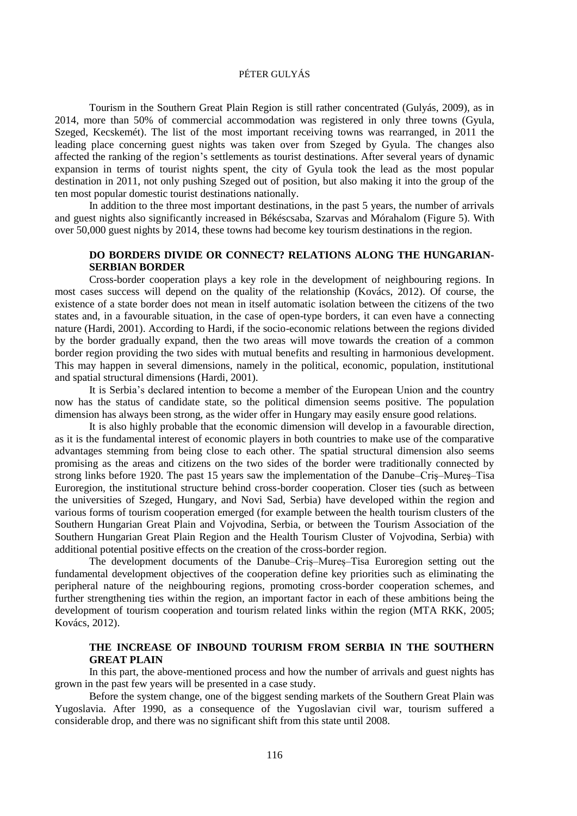Tourism in the Southern Great Plain Region is still rather concentrated (Gulyás, 2009), as in 2014, more than 50% of commercial accommodation was registered in only three towns (Gyula, Szeged, Kecskemét). The list of the most important receiving towns was rearranged, in 2011 the leading place concerning guest nights was taken over from Szeged by Gyula. The changes also affected the ranking of the region's settlements as tourist destinations. After several years of dynamic expansion in terms of tourist nights spent, the city of Gyula took the lead as the most popular destination in 2011, not only pushing Szeged out of position, but also making it into the group of the ten most popular domestic tourist destinations nationally.

In addition to the three most important destinations, in the past 5 years, the number of arrivals and guest nights also significantly increased in Békéscsaba, Szarvas and Mórahalom (Figure 5). With over 50,000 guest nights by 2014, these towns had become key tourism destinations in the region.

## **DO BORDERS DIVIDE OR CONNECT? RELATIONS ALONG THE HUNGARIAN-SERBIAN BORDER**

Cross-border cooperation plays a key role in the development of neighbouring regions. In most cases success will depend on the quality of the relationship (Kovács, 2012). Of course, the existence of a state border does not mean in itself automatic isolation between the citizens of the two states and, in a favourable situation, in the case of open-type borders, it can even have a connecting nature (Hardi, 2001). According to Hardi, if the socio-economic relations between the regions divided by the border gradually expand, then the two areas will move towards the creation of a common border region providing the two sides with mutual benefits and resulting in harmonious development. This may happen in several dimensions, namely in the political, economic, population, institutional and spatial structural dimensions (Hardi, 2001).

It is Serbia's declared intention to become a member of the European Union and the country now has the status of candidate state, so the political dimension seems positive. The population dimension has always been strong, as the wider offer in Hungary may easily ensure good relations.

It is also highly probable that the economic dimension will develop in a favourable direction, as it is the fundamental interest of economic players in both countries to make use of the comparative advantages stemming from being close to each other. The spatial structural dimension also seems promising as the areas and citizens on the two sides of the border were traditionally connected by strong links before 1920. The past 15 years saw the implementation of the Danube–Criş–Mureş–Tisa Euroregion, the institutional structure behind cross-border cooperation. Closer ties (such as between the universities of Szeged, Hungary, and Novi Sad, Serbia) have developed within the region and various forms of tourism cooperation emerged (for example between the health tourism clusters of the Southern Hungarian Great Plain and Vojvodina, Serbia, or between the Tourism Association of the Southern Hungarian Great Plain Region and the Health Tourism Cluster of Vojvodina, Serbia) with additional potential positive effects on the creation of the cross-border region.

The development documents of the Danube–Criș–Mureș–Tisa Euroregion setting out the fundamental development objectives of the cooperation define key priorities such as eliminating the peripheral nature of the neighbouring regions, promoting cross-border cooperation schemes, and further strengthening ties within the region, an important factor in each of these ambitions being the development of tourism cooperation and tourism related links within the region (MTA RKK, 2005; Kovács, 2012).

# **THE INCREASE OF INBOUND TOURISM FROM SERBIA IN THE SOUTHERN GREAT PLAIN**

In this part, the above-mentioned process and how the number of arrivals and guest nights has grown in the past few years will be presented in a case study.

Before the system change, one of the biggest sending markets of the Southern Great Plain was Yugoslavia. After 1990, as a consequence of the Yugoslavian civil war, tourism suffered a considerable drop, and there was no significant shift from this state until 2008.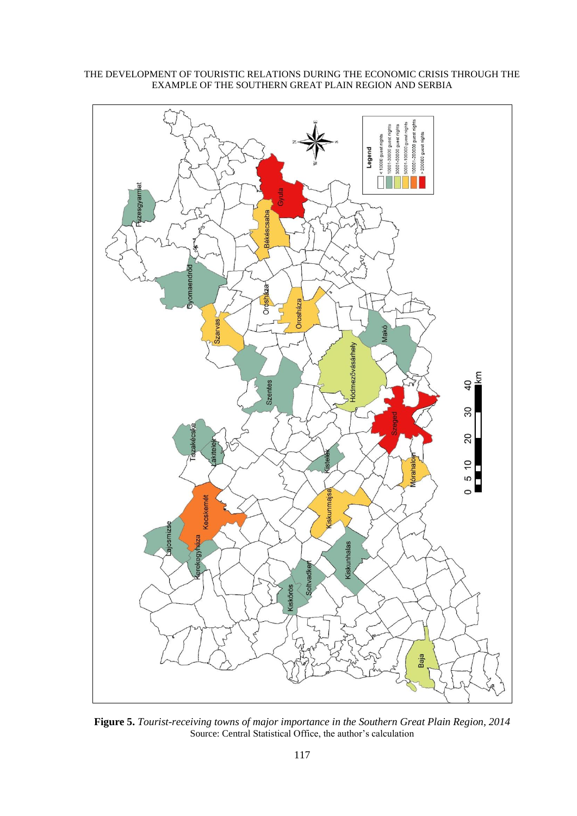

**Figure 5.** *Tourist-receiving towns of major importance in the Southern Great Plain Region, 2014* Source: Central Statistical Office, the author's calculation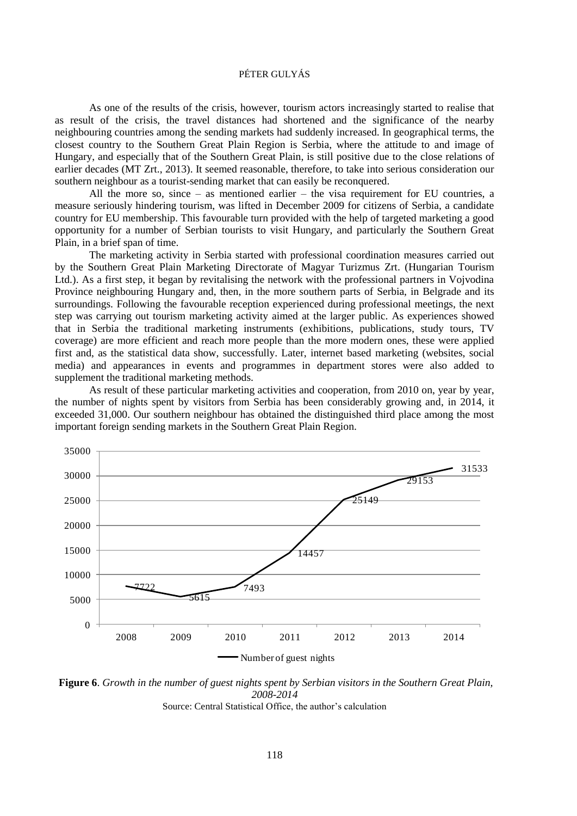As one of the results of the crisis, however, tourism actors increasingly started to realise that as result of the crisis, the travel distances had shortened and the significance of the nearby neighbouring countries among the sending markets had suddenly increased. In geographical terms, the closest country to the Southern Great Plain Region is Serbia, where the attitude to and image of Hungary, and especially that of the Southern Great Plain, is still positive due to the close relations of earlier decades (MT Zrt., 2013). It seemed reasonable, therefore, to take into serious consideration our southern neighbour as a tourist-sending market that can easily be reconquered.

All the more so, since – as mentioned earlier – the visa requirement for EU countries, a measure seriously hindering tourism, was lifted in December 2009 for citizens of Serbia, a candidate country for EU membership. This favourable turn provided with the help of targeted marketing a good opportunity for a number of Serbian tourists to visit Hungary, and particularly the Southern Great Plain, in a brief span of time.

The marketing activity in Serbia started with professional coordination measures carried out by the Southern Great Plain Marketing Directorate of Magyar Turizmus Zrt. (Hungarian Tourism Ltd.). As a first step, it began by revitalising the network with the professional partners in Vojvodina Province neighbouring Hungary and, then, in the more southern parts of Serbia, in Belgrade and its surroundings. Following the favourable reception experienced during professional meetings, the next step was carrying out tourism marketing activity aimed at the larger public. As experiences showed that in Serbia the traditional marketing instruments (exhibitions, publications, study tours, TV coverage) are more efficient and reach more people than the more modern ones, these were applied first and, as the statistical data show, successfully. Later, internet based marketing (websites, social media) and appearances in events and programmes in department stores were also added to supplement the traditional marketing methods.

As result of these particular marketing activities and cooperation, from 2010 on, year by year, the number of nights spent by visitors from Serbia has been considerably growing and, in 2014, it exceeded 31,000. Our southern neighbour has obtained the distinguished third place among the most important foreign sending markets in the Southern Great Plain Region.



**Figure 6**. *Growth in the number of guest nights spent by Serbian visitors in the Southern Great Plain, 2008-2014*

Source: Central Statistical Office, the author's calculation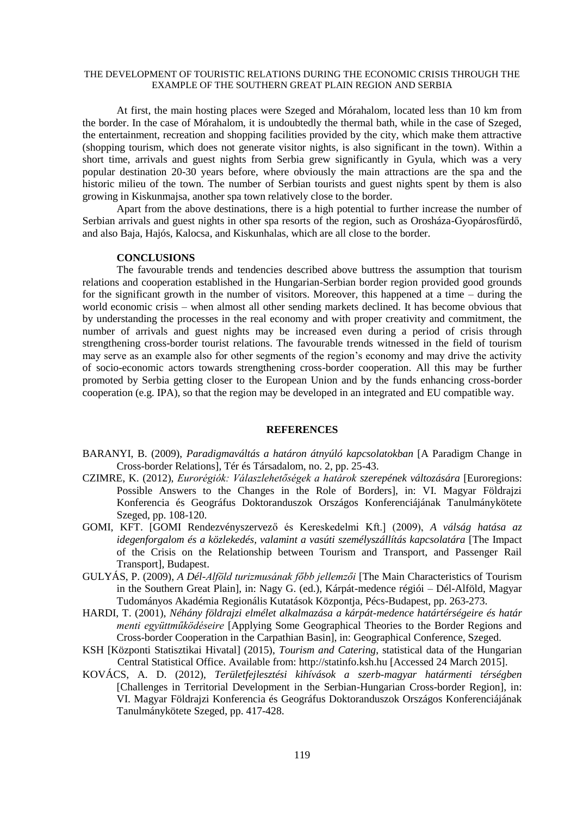At first, the main hosting places were Szeged and Mórahalom, located less than 10 km from the border. In the case of Mórahalom, it is undoubtedly the thermal bath, while in the case of Szeged, the entertainment, recreation and shopping facilities provided by the city, which make them attractive (shopping tourism, which does not generate visitor nights, is also significant in the town). Within a short time, arrivals and guest nights from Serbia grew significantly in Gyula, which was a very popular destination 20-30 years before, where obviously the main attractions are the spa and the historic milieu of the town. The number of Serbian tourists and guest nights spent by them is also growing in Kiskunmajsa, another spa town relatively close to the border.

Apart from the above destinations, there is a high potential to further increase the number of Serbian arrivals and guest nights in other spa resorts of the region, such as Orosháza-Gyopárosfürdő, and also Baja, Hajós, Kalocsa, and Kiskunhalas, which are all close to the border.

#### **CONCLUSIONS**

The favourable trends and tendencies described above buttress the assumption that tourism relations and cooperation established in the Hungarian-Serbian border region provided good grounds for the significant growth in the number of visitors. Moreover, this happened at a time – during the world economic crisis – when almost all other sending markets declined. It has become obvious that by understanding the processes in the real economy and with proper creativity and commitment, the number of arrivals and guest nights may be increased even during a period of crisis through strengthening cross-border tourist relations. The favourable trends witnessed in the field of tourism may serve as an example also for other segments of the region's economy and may drive the activity of socio-economic actors towards strengthening cross-border cooperation. All this may be further promoted by Serbia getting closer to the European Union and by the funds enhancing cross-border cooperation (e.g. IPA), so that the region may be developed in an integrated and EU compatible way.

#### **REFERENCES**

- BARANYI, B. (2009), *Paradigmaváltás a határon átnyúló kapcsolatokban* [A Paradigm Change in Cross-border Relations], Tér és Társadalom, no. 2, pp. 25-43.
- CZIMRE, K. (2012), *Eurorégiók: Válaszlehetőségek a határok szerepének változására* [Euroregions: Possible Answers to the Changes in the Role of Borders], in: VI. Magyar Földrajzi Konferencia és Geográfus Doktoranduszok Országos Konferenciájának Tanulmánykötete Szeged, pp. 108-120.
- GOMI, KFT. [GOMI Rendezvényszervező és Kereskedelmi Kft.] (2009), *A válság hatása az idegenforgalom és a közlekedés, valamint a vasúti személyszállítás kapcsolatára* [The Impact of the Crisis on the Relationship between Tourism and Transport, and Passenger Rail Transport], Budapest.
- GULYÁS, P. (2009), *A Dél-Alföld turizmusának főbb jellemzői* [The Main Characteristics of Tourism in the Southern Great Plain], in: Nagy G. (ed.), Kárpát-medence régiói – Dél-Alföld, Magyar Tudományos Akadémia Regionális Kutatások Központja, Pécs-Budapest, pp. 263-273.
- HARDI, T. (2001), *Néhány földrajzi elmélet alkalmazása a kárpát-medence határtérségeire és határ menti együttműködéseire* [Applying Some Geographical Theories to the Border Regions and Cross-border Cooperation in the Carpathian Basin], in: Geographical Conference, Szeged.
- KSH [Központi Statisztikai Hivatal] (2015), *Tourism and Catering*, statistical data of the Hungarian Central Statistical Office. Available from: http://statinfo.ksh.hu [Accessed 24 March 2015].
- KOVÁCS, A. D. (2012), *Területfejlesztési kihívások a szerb-magyar határmenti térségben* [Challenges in Territorial Development in the Serbian-Hungarian Cross-border Region], in: VI. Magyar Földrajzi Konferencia és Geográfus Doktoranduszok Országos Konferenciájának Tanulmánykötete Szeged, pp. 417-428.